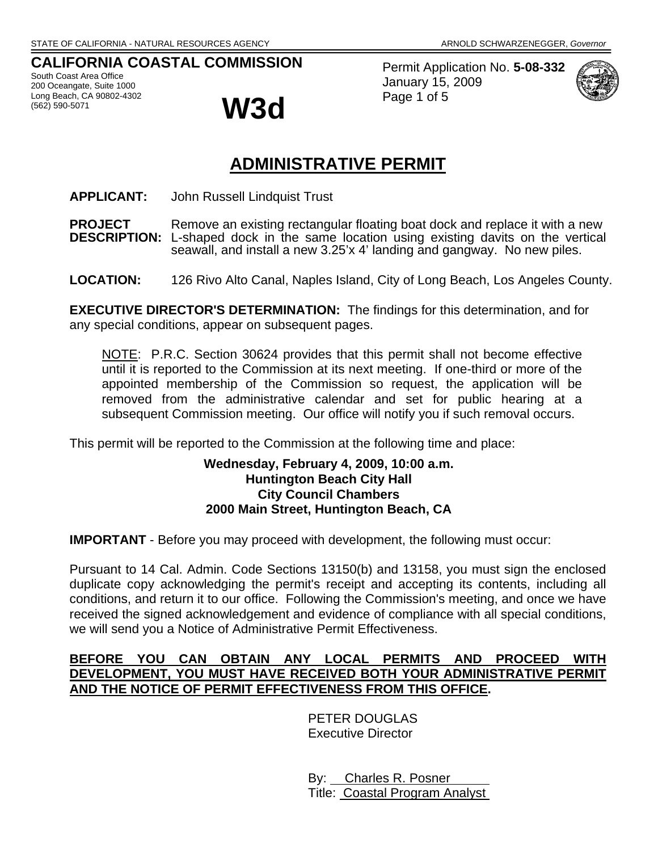### **CALIFORNIA COASTAL COMMISSION**

South Coast Area Office 200 Oceangate, Suite 1000 Long Beach, CA 90802-4302



Permit Application No. **5-08-332** January 15, 2009 Page 1 of 5



# **ADMINISTRATIVE PERMIT**

- **APPLICANT:** John Russell Lindquist Trust
- **PROJECT** Remove an existing rectangular floating boat dock and replace it with a new<br>**DESCRIPTION:** L-shaped dock in the same location using existing davits on the vertical L-shaped dock in the same location using existing davits on the vertical seawall, and install a new 3.25'x 4' landing and gangway. No new piles.
- **LOCATION:** 126 Rivo Alto Canal, Naples Island, City of Long Beach, Los Angeles County.

**EXECUTIVE DIRECTOR'S DETERMINATION:** The findings for this determination, and for any special conditions, appear on subsequent pages.

NOTE: P.R.C. Section 30624 provides that this permit shall not become effective until it is reported to the Commission at its next meeting. If one-third or more of the appointed membership of the Commission so request, the application will be removed from the administrative calendar and set for public hearing at a subsequent Commission meeting. Our office will notify you if such removal occurs.

This permit will be reported to the Commission at the following time and place:

#### **Wednesday, February 4, 2009, 10:00 a.m. Huntington Beach City Hall City Council Chambers 2000 Main Street, Huntington Beach, CA**

**IMPORTANT** - Before you may proceed with development, the following must occur:

Pursuant to 14 Cal. Admin. Code Sections 13150(b) and 13158, you must sign the enclosed duplicate copy acknowledging the permit's receipt and accepting its contents, including all conditions, and return it to our office. Following the Commission's meeting, and once we have received the signed acknowledgement and evidence of compliance with all special conditions, we will send you a Notice of Administrative Permit Effectiveness.

### **BEFORE YOU CAN OBTAIN ANY LOCAL PERMITS AND PROCEED WITH DEVELOPMENT, YOU MUST HAVE RECEIVED BOTH YOUR ADMINISTRATIVE PERMIT AND THE NOTICE OF PERMIT EFFECTIVENESS FROM THIS OFFICE.**

PETER DOUGLAS Executive Director

 By: Charles R. Posner Title: Coastal Program Analyst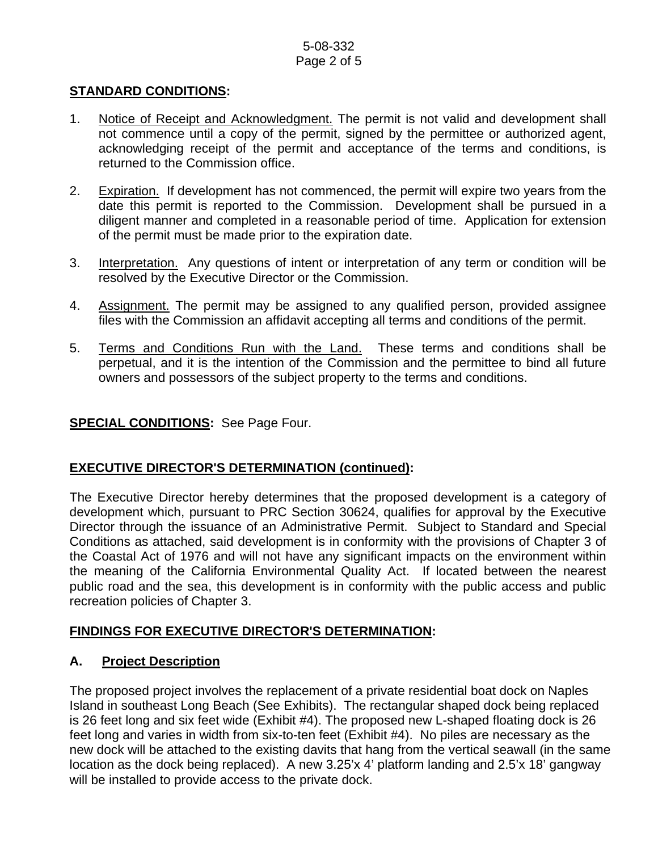#### 5-08-332 Page 2 of 5

#### **STANDARD CONDITIONS:**

- 1. Notice of Receipt and Acknowledgment. The permit is not valid and development shall not commence until a copy of the permit, signed by the permittee or authorized agent, acknowledging receipt of the permit and acceptance of the terms and conditions, is returned to the Commission office.
- 2. Expiration. If development has not commenced, the permit will expire two years from the date this permit is reported to the Commission. Development shall be pursued in a diligent manner and completed in a reasonable period of time. Application for extension of the permit must be made prior to the expiration date.
- 3. Interpretation. Any questions of intent or interpretation of any term or condition will be resolved by the Executive Director or the Commission.
- 4. Assignment. The permit may be assigned to any qualified person, provided assignee files with the Commission an affidavit accepting all terms and conditions of the permit.
- 5. Terms and Conditions Run with the Land. These terms and conditions shall be perpetual, and it is the intention of the Commission and the permittee to bind all future owners and possessors of the subject property to the terms and conditions.

#### **SPECIAL CONDITIONS:** See Page Four.

#### **EXECUTIVE DIRECTOR'S DETERMINATION (continued):**

The Executive Director hereby determines that the proposed development is a category of development which, pursuant to PRC Section 30624, qualifies for approval by the Executive Director through the issuance of an Administrative Permit. Subject to Standard and Special Conditions as attached, said development is in conformity with the provisions of Chapter 3 of the Coastal Act of 1976 and will not have any significant impacts on the environment within the meaning of the California Environmental Quality Act. If located between the nearest public road and the sea, this development is in conformity with the public access and public recreation policies of Chapter 3.

## **FINDINGS FOR EXECUTIVE DIRECTOR'S DETERMINATION:**

## **A. Project Description**

The proposed project involves the replacement of a private residential boat dock on Naples Island in southeast Long Beach (See Exhibits). The rectangular shaped dock being replaced is 26 feet long and six feet wide (Exhibit #4). The proposed new L-shaped floating dock is 26 feet long and varies in width from six-to-ten feet (Exhibit #4). No piles are necessary as the new dock will be attached to the existing davits that hang from the vertical seawall (in the same location as the dock being replaced). A new 3.25'x 4' platform landing and 2.5'x 18' gangway will be installed to provide access to the private dock.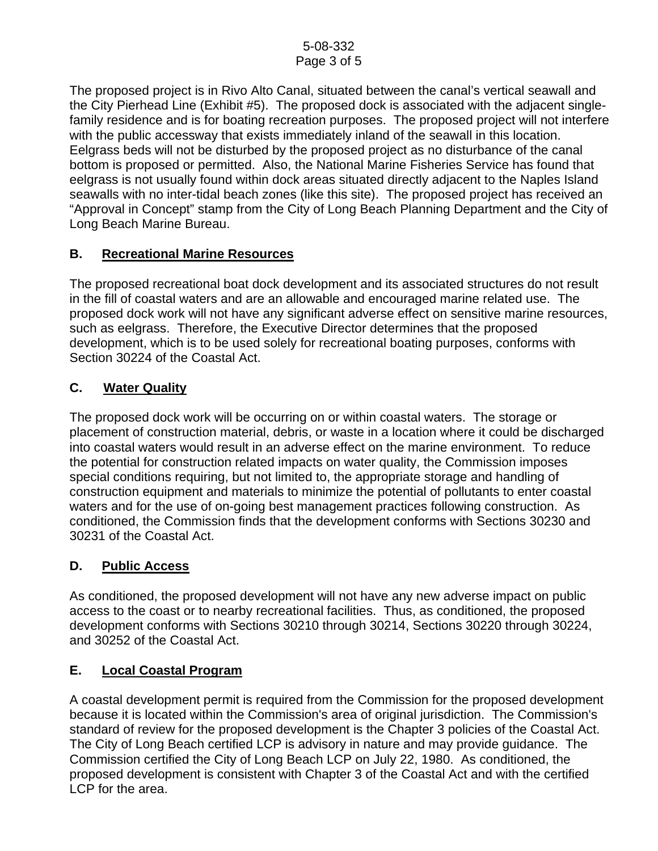The proposed project is in Rivo Alto Canal, situated between the canal's vertical seawall and the City Pierhead Line (Exhibit #5). The proposed dock is associated with the adjacent singlefamily residence and is for boating recreation purposes. The proposed project will not interfere with the public accessway that exists immediately inland of the seawall in this location. Eelgrass beds will not be disturbed by the proposed project as no disturbance of the canal bottom is proposed or permitted. Also, the National Marine Fisheries Service has found that eelgrass is not usually found within dock areas situated directly adjacent to the Naples Island seawalls with no inter-tidal beach zones (like this site). The proposed project has received an "Approval in Concept" stamp from the City of Long Beach Planning Department and the City of Long Beach Marine Bureau.

## **B. Recreational Marine Resources**

The proposed recreational boat dock development and its associated structures do not result in the fill of coastal waters and are an allowable and encouraged marine related use. The proposed dock work will not have any significant adverse effect on sensitive marine resources, such as eelgrass. Therefore, the Executive Director determines that the proposed development, which is to be used solely for recreational boating purposes, conforms with Section 30224 of the Coastal Act.

## **C. Water Quality**

The proposed dock work will be occurring on or within coastal waters. The storage or placement of construction material, debris, or waste in a location where it could be discharged into coastal waters would result in an adverse effect on the marine environment. To reduce the potential for construction related impacts on water quality, the Commission imposes special conditions requiring, but not limited to, the appropriate storage and handling of construction equipment and materials to minimize the potential of pollutants to enter coastal waters and for the use of on-going best management practices following construction. As conditioned, the Commission finds that the development conforms with Sections 30230 and 30231 of the Coastal Act.

#### **D. Public Access**

As conditioned, the proposed development will not have any new adverse impact on public access to the coast or to nearby recreational facilities. Thus, as conditioned, the proposed development conforms with Sections 30210 through 30214, Sections 30220 through 30224, and 30252 of the Coastal Act.

## **E. Local Coastal Program**

A coastal development permit is required from the Commission for the proposed development because it is located within the Commission's area of original jurisdiction. The Commission's standard of review for the proposed development is the Chapter 3 policies of the Coastal Act. The City of Long Beach certified LCP is advisory in nature and may provide guidance. The Commission certified the City of Long Beach LCP on July 22, 1980. As conditioned, the proposed development is consistent with Chapter 3 of the Coastal Act and with the certified LCP for the area.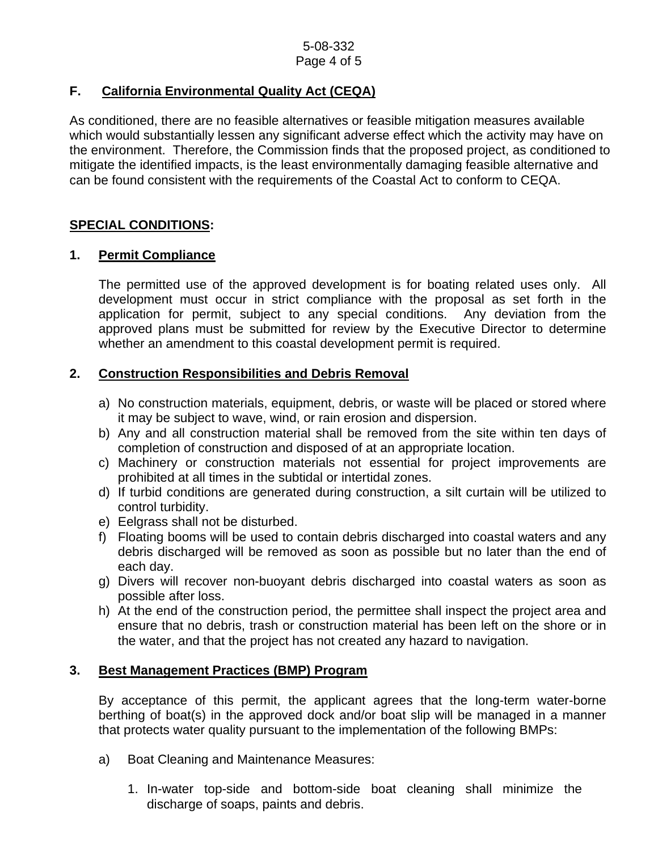## **F. California Environmental Quality Act (CEQA)**

As conditioned, there are no feasible alternatives or feasible mitigation measures available which would substantially lessen any significant adverse effect which the activity may have on the environment. Therefore, the Commission finds that the proposed project, as conditioned to mitigate the identified impacts, is the least environmentally damaging feasible alternative and can be found consistent with the requirements of the Coastal Act to conform to CEQA.

### **SPECIAL CONDITIONS:**

### **1. Permit Compliance**

 The permitted use of the approved development is for boating related uses only. All development must occur in strict compliance with the proposal as set forth in the application for permit, subject to any special conditions. Any deviation from the approved plans must be submitted for review by the Executive Director to determine whether an amendment to this coastal development permit is required.

### **2. Construction Responsibilities and Debris Removal**

- a) No construction materials, equipment, debris, or waste will be placed or stored where it may be subject to wave, wind, or rain erosion and dispersion.
- b) Any and all construction material shall be removed from the site within ten days of completion of construction and disposed of at an appropriate location.
- c) Machinery or construction materials not essential for project improvements are prohibited at all times in the subtidal or intertidal zones.
- d) If turbid conditions are generated during construction, a silt curtain will be utilized to control turbidity.
- e) Eelgrass shall not be disturbed.
- f) Floating booms will be used to contain debris discharged into coastal waters and any debris discharged will be removed as soon as possible but no later than the end of each day.
- g) Divers will recover non-buoyant debris discharged into coastal waters as soon as possible after loss.
- h) At the end of the construction period, the permittee shall inspect the project area and ensure that no debris, trash or construction material has been left on the shore or in the water, and that the project has not created any hazard to navigation.

#### **3. Best Management Practices (BMP) Program**

By acceptance of this permit, the applicant agrees that the long-term water-borne berthing of boat(s) in the approved dock and/or boat slip will be managed in a manner that protects water quality pursuant to the implementation of the following BMPs:

- a) Boat Cleaning and Maintenance Measures:
	- 1. In-water top-side and bottom-side boat cleaning shall minimize the discharge of soaps, paints and debris.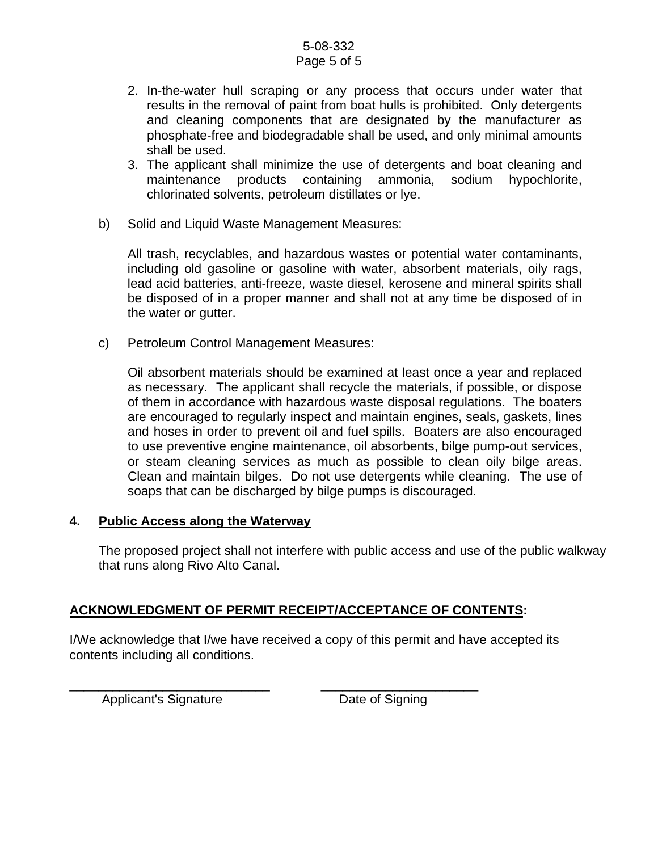#### 5-08-332 Page 5 of 5

- 2. In-the-water hull scraping or any process that occurs under water that results in the removal of paint from boat hulls is prohibited. Only detergents and cleaning components that are designated by the manufacturer as phosphate-free and biodegradable shall be used, and only minimal amounts shall be used.
- 3. The applicant shall minimize the use of detergents and boat cleaning and maintenance products containing ammonia, sodium hypochlorite, chlorinated solvents, petroleum distillates or lye.
- b) Solid and Liquid Waste Management Measures:

All trash, recyclables, and hazardous wastes or potential water contaminants, including old gasoline or gasoline with water, absorbent materials, oily rags, lead acid batteries, anti-freeze, waste diesel, kerosene and mineral spirits shall be disposed of in a proper manner and shall not at any time be disposed of in the water or gutter.

c) Petroleum Control Management Measures:

Oil absorbent materials should be examined at least once a year and replaced as necessary. The applicant shall recycle the materials, if possible, or dispose of them in accordance with hazardous waste disposal regulations. The boaters are encouraged to regularly inspect and maintain engines, seals, gaskets, lines and hoses in order to prevent oil and fuel spills. Boaters are also encouraged to use preventive engine maintenance, oil absorbents, bilge pump-out services, or steam cleaning services as much as possible to clean oily bilge areas. Clean and maintain bilges. Do not use detergents while cleaning. The use of soaps that can be discharged by bilge pumps is discouraged.

#### **4. Public Access along the Waterway**

The proposed project shall not interfere with public access and use of the public walkway that runs along Rivo Alto Canal.

## **ACKNOWLEDGMENT OF PERMIT RECEIPT/ACCEPTANCE OF CONTENTS:**

I/We acknowledge that I/we have received a copy of this permit and have accepted its contents including all conditions.

Applicant's Signature Date of Signing

\_\_\_\_\_\_\_\_\_\_\_\_\_\_\_\_\_\_\_\_\_\_\_\_\_\_\_\_ \_\_\_\_\_\_\_\_\_\_\_\_\_\_\_\_\_\_\_\_\_\_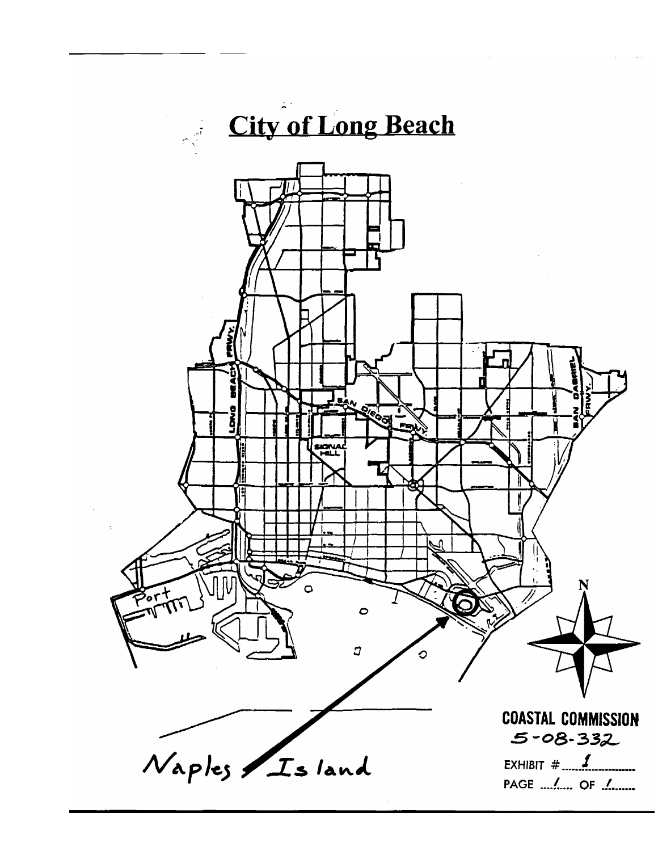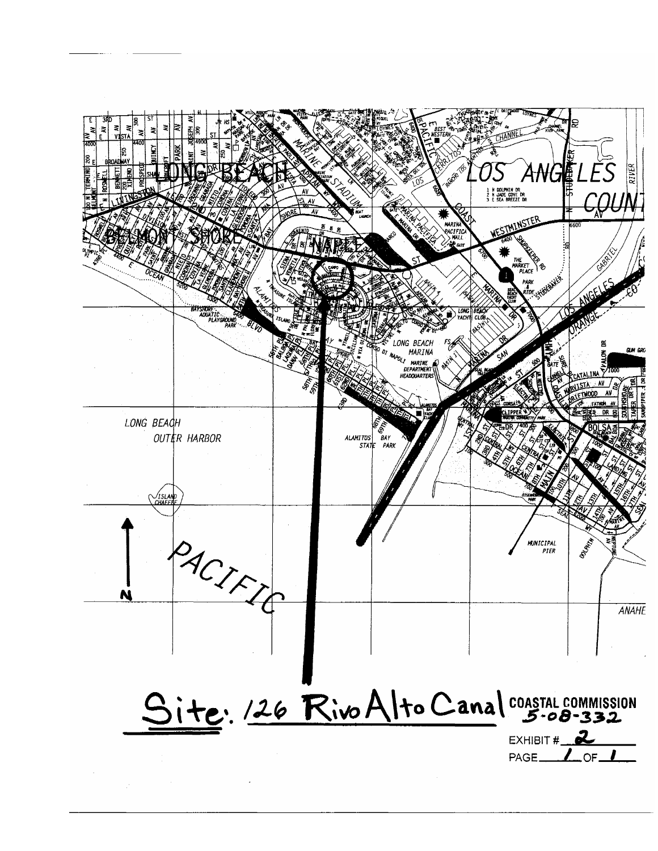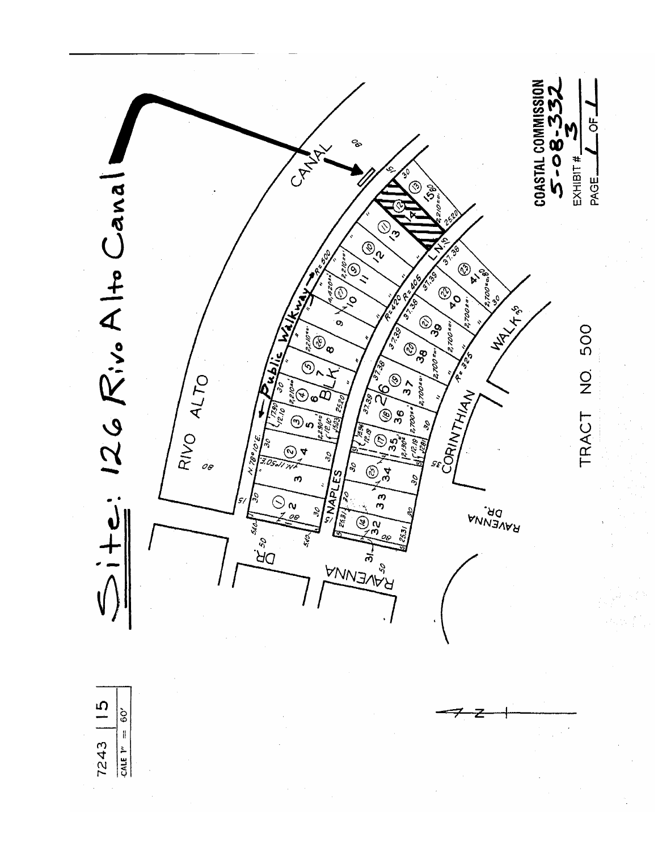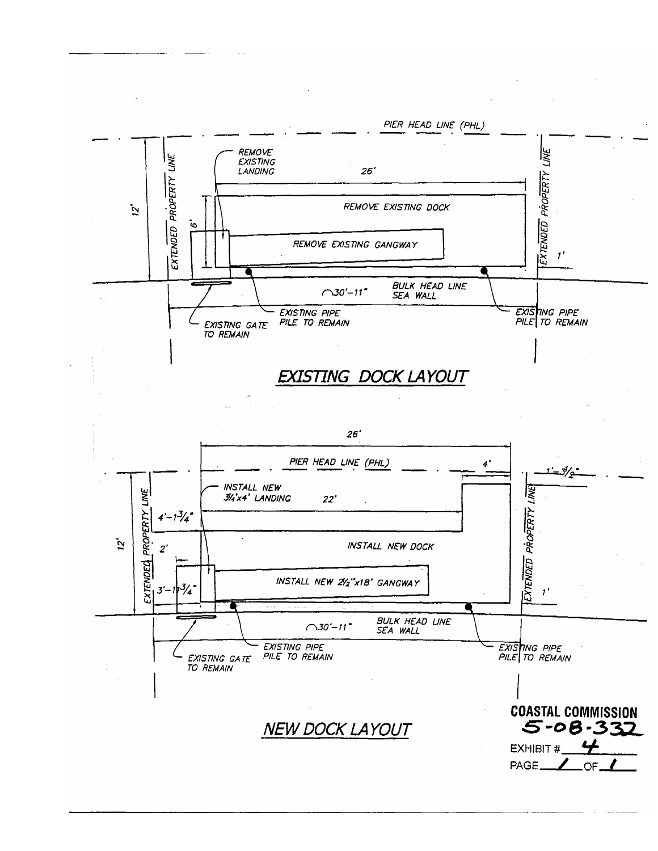